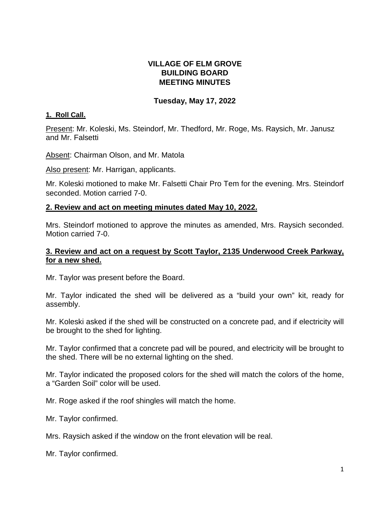## **VILLAGE OF ELM GROVE BUILDING BOARD MEETING MINUTES**

## **Tuesday, May 17, 2022**

### **1. Roll Call.**

Present: Mr. Koleski, Ms. Steindorf, Mr. Thedford, Mr. Roge, Ms. Raysich, Mr. Janusz and Mr. Falsetti

Absent: Chairman Olson, and Mr. Matola

Also present: Mr. Harrigan, applicants.

Mr. Koleski motioned to make Mr. Falsetti Chair Pro Tem for the evening. Mrs. Steindorf seconded. Motion carried 7-0.

### **2. Review and act on meeting minutes dated May 10, 2022.**

Mrs. Steindorf motioned to approve the minutes as amended, Mrs. Raysich seconded. Motion carried 7-0.

## **3. Review and act on a request by Scott Taylor, 2135 Underwood Creek Parkway, for a new shed.**

Mr. Taylor was present before the Board.

Mr. Taylor indicated the shed will be delivered as a "build your own" kit, ready for assembly.

Mr. Koleski asked if the shed will be constructed on a concrete pad, and if electricity will be brought to the shed for lighting.

Mr. Taylor confirmed that a concrete pad will be poured, and electricity will be brought to the shed. There will be no external lighting on the shed.

Mr. Taylor indicated the proposed colors for the shed will match the colors of the home, a "Garden Soil" color will be used.

Mr. Roge asked if the roof shingles will match the home.

Mr. Taylor confirmed.

Mrs. Raysich asked if the window on the front elevation will be real.

Mr. Taylor confirmed.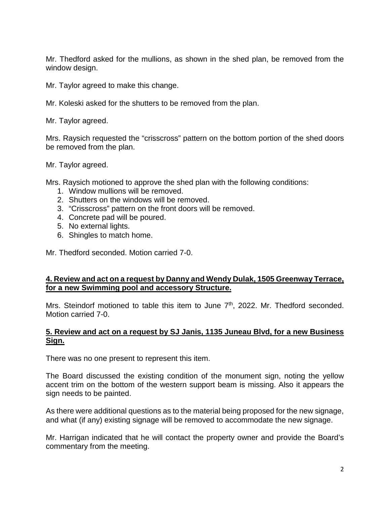Mr. Thedford asked for the mullions, as shown in the shed plan, be removed from the window design.

Mr. Taylor agreed to make this change.

Mr. Koleski asked for the shutters to be removed from the plan.

Mr. Taylor agreed.

Mrs. Raysich requested the "crisscross" pattern on the bottom portion of the shed doors be removed from the plan.

Mr. Taylor agreed.

Mrs. Raysich motioned to approve the shed plan with the following conditions:

- 1. Window mullions will be removed.
- 2. Shutters on the windows will be removed.
- 3. "Crisscross" pattern on the front doors will be removed.
- 4. Concrete pad will be poured.
- 5. No external lights.
- 6. Shingles to match home.

Mr. Thedford seconded. Motion carried 7-0.

# **4. Review and act on a request by Danny and Wendy Dulak, 1505 Greenway Terrace, for a new Swimming pool and accessory Structure.**

Mrs. Steindorf motioned to table this item to June  $7<sup>th</sup>$ , 2022. Mr. Thedford seconded. Motion carried 7-0.

### **5. Review and act on a request by SJ Janis, 1135 Juneau Blvd, for a new Business Sign.**

There was no one present to represent this item.

The Board discussed the existing condition of the monument sign, noting the yellow accent trim on the bottom of the western support beam is missing. Also it appears the sign needs to be painted.

As there were additional questions as to the material being proposed for the new signage, and what (if any) existing signage will be removed to accommodate the new signage.

Mr. Harrigan indicated that he will contact the property owner and provide the Board's commentary from the meeting.